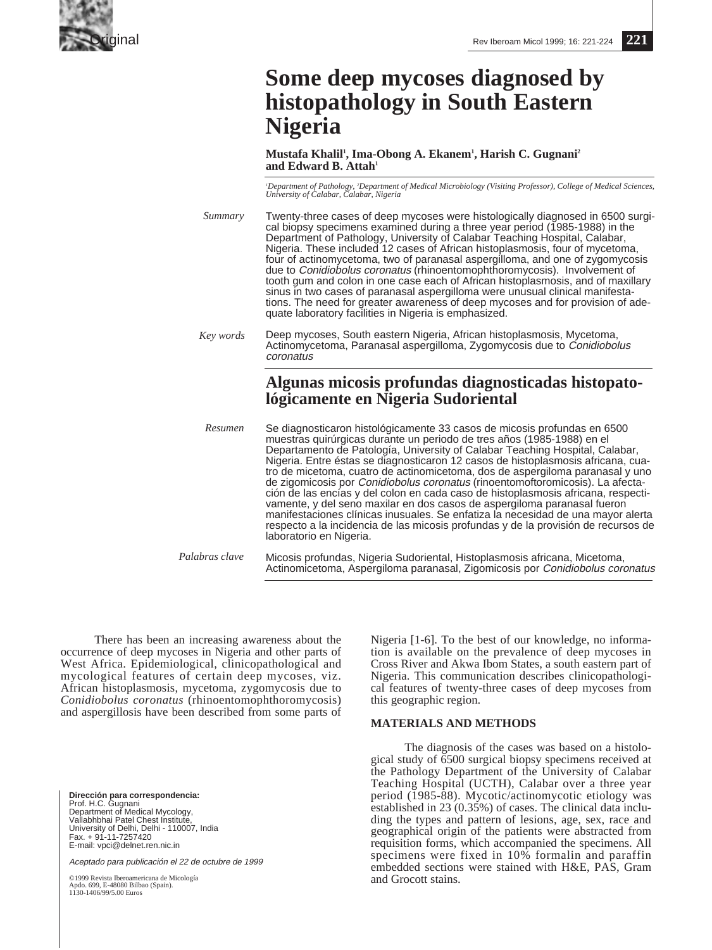

# **Some deep mycoses diagnosed by histopathology in South Eastern Nigeria**

**Mustafa Khalil1 , Ima-Obong A. Ekanem1 , Harish C. Gugnani2** and Edward B. Attah<sup>1</sup>

*1 Department of Pathology, 2 Department of Medical Microbiology (Visiting Professor), College of Medical Sciences, University of Calabar, Calabar, Nigeria*

| Summary   | Twenty-three cases of deep mycoses were histologically diagnosed in 6500 surgi-<br>cal biopsy specimens examined during a three year period (1985-1988) in the<br>Department of Pathology, University of Calabar Teaching Hospital, Calabar,<br>Nigeria. These included 12 cases of African histoplasmosis, four of mycetoma,<br>four of actinomycetoma, two of paranasal aspergilloma, and one of zygomycosis<br>due to Conidiobolus coronatus (rhinoentomophthoromycosis). Involvement of<br>tooth gum and colon in one case each of African histoplasmosis, and of maxillary<br>sinus in two cases of paranasal aspergilloma were unusual clinical manifesta-<br>tions. The need for greater awareness of deep mycoses and for provision of ade-<br>quate laboratory facilities in Nigeria is emphasized.                                                    |
|-----------|-----------------------------------------------------------------------------------------------------------------------------------------------------------------------------------------------------------------------------------------------------------------------------------------------------------------------------------------------------------------------------------------------------------------------------------------------------------------------------------------------------------------------------------------------------------------------------------------------------------------------------------------------------------------------------------------------------------------------------------------------------------------------------------------------------------------------------------------------------------------|
| Key words | Deep mycoses, South eastern Nigeria, African histoplasmosis, Mycetoma,<br>Actinomycetoma, Paranasal aspergilloma, Zygomycosis due to Conidiobolus<br>coronatus                                                                                                                                                                                                                                                                                                                                                                                                                                                                                                                                                                                                                                                                                                  |
|           | Algunas micosis profundas diagnosticadas histopato-<br>lógicamente en Nigeria Sudoriental                                                                                                                                                                                                                                                                                                                                                                                                                                                                                                                                                                                                                                                                                                                                                                       |
| Resumen   | Se diagnosticaron histológicamente 33 casos de micosis profundas en 6500<br>muestras quirúrgicas durante un periodo de tres años (1985-1988) en el<br>Departamento de Patología, University of Calabar Teaching Hospital, Calabar,<br>Nigeria. Entre éstas se diagnosticaron 12 casos de histoplasmosis africana, cua-<br>tro de micetoma, cuatro de actinomicetoma, dos de aspergiloma paranasal y uno<br>de zigomicosis por Conidiobolus coronatus (rinoentomoftoromicosis). La afecta-<br>ción de las encías y del colon en cada caso de histoplasmosis africana, respecti-<br>vamente, y del seno maxilar en dos casos de aspergiloma paranasal fueron<br>manifestaciones clínicas inusuales. Se enfatiza la necesidad de una mayor alerta<br>respecto a la incidencia de las micosis profundas y de la provisión de recursos de<br>laboratorio en Nigeria. |

Micosis profundas, Nigeria Sudoriental, Histoplasmosis africana, Micetoma, Actinomicetoma, Aspergiloma paranasal, Zigomicosis por Conidiobolus coronatus *Palabras clave*

There has been an increasing awareness about the occurrence of deep mycoses in Nigeria and other parts of West Africa. Epidemiological, clinicopathological and mycological features of certain deep mycoses, viz. African histoplasmosis, mycetoma, zygomycosis due to *Conidiobolus coronatus* (rhinoentomophthoromycosis) and aspergillosis have been described from some parts of

**Dirección para correspondencia:**  Prof. H.C. Gugnani Department of Medical Mycology, Vallabhbhai Patel Chest Institute, University of Delhi, Delhi - 110007, India Fax. + 91-11-7257420 E-mail: vpci@delnet.ren.nic.in

Aceptado para publicación el 22 de octubre de 1999

©1999 Revista Iberoamericana de Micología pdo. 699, E-48080 Bilbao (Spain). Apao. 677, 1-70000 ----<br>1130-1406/99/5.00 Euros

Nigeria [1-6]. To the best of our knowledge, no information is available on the prevalence of deep mycoses in Cross River and Akwa Ibom States, a south eastern part of Nigeria. This communication describes clinicopathological features of twenty-three cases of deep mycoses from this geographic region.

## **MATERIALS AND METHODS**

The diagnosis of the cases was based on a histological study of 6500 surgical biopsy specimens received at the Pathology Department of the University of Calabar Teaching Hospital (UCTH), Calabar over a three year period (1985-88). Mycotic/actinomycotic etiology was established in 23 (0.35%) of cases. The clinical data including the types and pattern of lesions, age, sex, race and geographical origin of the patients were abstracted from requisition forms, which accompanied the specimens. All specimens were fixed in 10% formalin and paraffin embedded sections were stained with H&E, PAS, Gram and Grocott stains.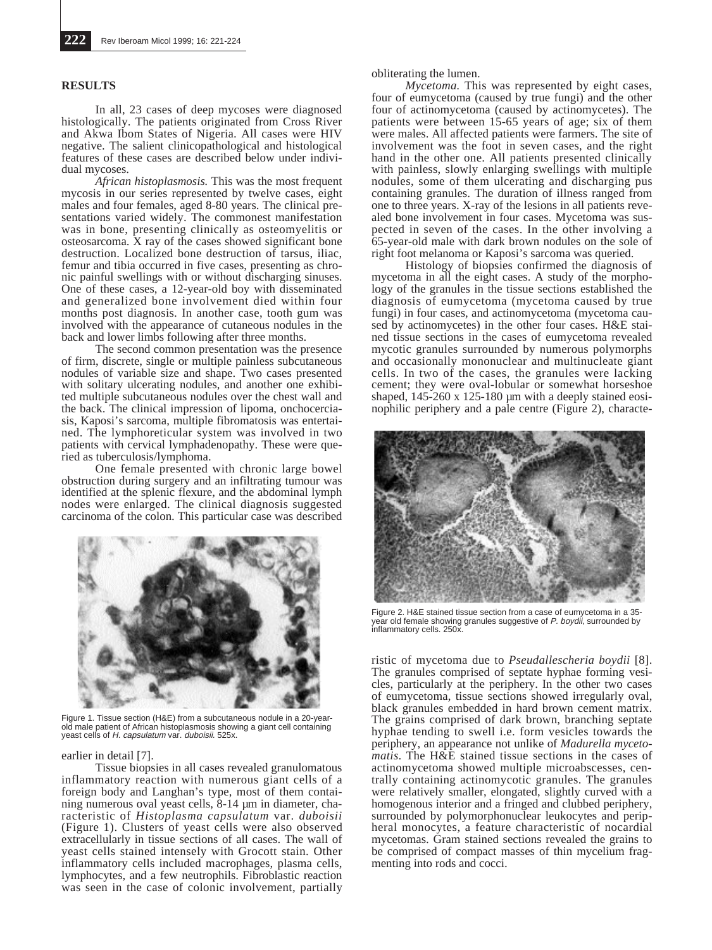## **RESULTS**

In all, 23 cases of deep mycoses were diagnosed histologically. The patients originated from Cross River and Akwa Ibom States of Nigeria. All cases were HIV negative. The salient clinicopathological and histological features of these cases are described below under individual mycoses.

*African histoplasmosis.* This was the most frequent mycosis in our series represented by twelve cases, eight males and four females, aged 8-80 years. The clinical presentations varied widely. The commonest manifestation was in bone, presenting clinically as osteomyelitis or osteosarcoma. X ray of the cases showed significant bone destruction. Localized bone destruction of tarsus, iliac, femur and tibia occurred in five cases, presenting as chronic painful swellings with or without discharging sinuses. One of these cases, a 12-year-old boy with disseminated and generalized bone involvement died within four months post diagnosis. In another case, tooth gum was involved with the appearance of cutaneous nodules in the back and lower limbs following after three months.

The second common presentation was the presence of firm, discrete, single or multiple painless subcutaneous nodules of variable size and shape. Two cases presented with solitary ulcerating nodules, and another one exhibited multiple subcutaneous nodules over the chest wall and the back. The clinical impression of lipoma, onchocerciasis, Kaposi's sarcoma, multiple fibromatosis was entertained. The lymphoreticular system was involved in two patients with cervical lymphadenopathy. These were queried as tuberculosis/lymphoma.

One female presented with chronic large bowel obstruction during surgery and an infiltrating tumour was identified at the splenic flexure, and the abdominal lymph nodes were enlarged. The clinical diagnosis suggested carcinoma of the colon. This particular case was described



Figure 1. Tissue section (H&E) from a subcutaneous nodule in a 20-year-old male patient of African histoplasmosis showing a giant cell containing yeast cells of H. capsulatum var. duboisii. 525x.

#### earlier in detail [7].

Tissue biopsies in all cases revealed granulomatous inflammatory reaction with numerous giant cells of a foreign body and Langhan's type, most of them containing numerous oval yeast cells, 8-14 um in diameter, characteristic of *Histoplasma capsulatum* var. *duboisii* (Figure 1). Clusters of yeast cells were also observed extracellularly in tissue sections of all cases. The wall of yeast cells stained intensely with Grocott stain. Other inflammatory cells included macrophages, plasma cells, lymphocytes, and a few neutrophils. Fibroblastic reaction was seen in the case of colonic involvement, partially

obliterating the lumen.

*Mycetoma.* This was represented by eight cases, four of eumycetoma (caused by true fungi) and the other four of actinomycetoma (caused by actinomycetes). The patients were between 15-65 years of age; six of them were males. All affected patients were farmers. The site of involvement was the foot in seven cases, and the right hand in the other one. All patients presented clinically with painless, slowly enlarging swellings with multiple nodules, some of them ulcerating and discharging pus containing granules. The duration of illness ranged from one to three years. X-ray of the lesions in all patients revealed bone involvement in four cases. Mycetoma was suspected in seven of the cases. In the other involving a 65-year-old male with dark brown nodules on the sole of right foot melanoma or Kaposi's sarcoma was queried.

Histology of biopsies confirmed the diagnosis of mycetoma in all the eight cases. A study of the morphology of the granules in the tissue sections established the diagnosis of eumycetoma (mycetoma caused by true fungi) in four cases, and actinomycetoma (mycetoma caused by actinomycetes) in the other four cases. H&E stained tissue sections in the cases of eumycetoma revealed mycotic granules surrounded by numerous polymorphs and occasionally mononuclear and multinucleate giant cells. In two of the cases, the granules were lacking cement; they were oval-lobular or somewhat horseshoe shaped,  $145-260 \times 125-180 \mu m$  with a deeply stained eosinophilic periphery and a pale centre (Figure 2), characte-



Figure 2. H&E stained tissue section from a case of eumycetoma in a 35-<br>year old female showing granules suggestive of *P. boydii*, surrounded by inflammatory cells. 250x.

ristic of mycetoma due to *Pseudallescheria boydii* [8]. The granules comprised of septate hyphae forming vesicles, particularly at the periphery. In the other two cases of eumycetoma, tissue sections showed irregularly oval, black granules embedded in hard brown cement matrix. The grains comprised of dark brown, branching septate hyphae tending to swell i.e. form vesicles towards the periphery, an appearance not unlike of *Madurella mycetomatis*. The H&E stained tissue sections in the cases of actinomycetoma showed multiple microabscesses, centrally containing actinomycotic granules. The granules were relatively smaller, elongated, slightly curved with a homogenous interior and a fringed and clubbed periphery. surrounded by polymorphonuclear leukocytes and peripheral monocytes, a feature characteristic of nocardial mycetomas. Gram stained sections revealed the grains to be comprised of compact masses of thin mycelium fragmenting into rods and cocci.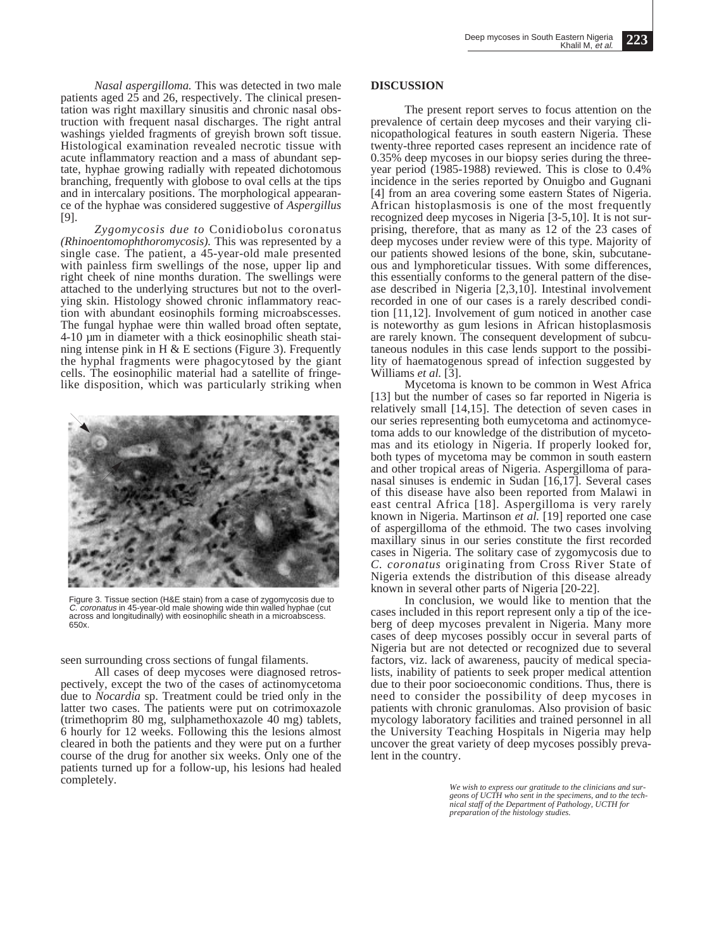*Nasal aspergilloma.* This was detected in two male patients aged 25 and 26, respectively. The clinical presentation was right maxillary sinusitis and chronic nasal obstruction with frequent nasal discharges. The right antral washings yielded fragments of greyish brown soft tissue. Histological examination revealed necrotic tissue with acute inflammatory reaction and a mass of abundant septate, hyphae growing radially with repeated dichotomous branching, frequently with globose to oval cells at the tips and in intercalary positions. The morphological appearance of the hyphae was considered suggestive of *Aspergillus* [9].

*Zygomycosis due to* Conidiobolus coronatus *(Rhinoentomophthoromycosis).* This was represented by a single case. The patient, a 45-year-old male presented with painless firm swellings of the nose, upper lip and right cheek of nine months duration. The swellings were attached to the underlying structures but not to the overlying skin. Histology showed chronic inflammatory reaction with abundant eosinophils forming microabscesses. The fungal hyphae were thin walled broad often septate, 4-10 µm in diameter with a thick eosinophilic sheath staining intense pink in H  $&$  E sections (Figure 3). Frequently the hyphal fragments were phagocytosed by the giant cells. The eosinophilic material had a satellite of fringelike disposition, which was particularly striking when



Figure 3. Tissue section (H&E stain) from a case of zygomycosis due to C. coronatus in 45-year-old male showing wide thin walled hyphae (cut across and longitudinally) with eosinophilic sheath in a microabscess. 650x.

seen surrounding cross sections of fungal filaments.

All cases of deep mycoses were diagnosed retrospectively, except the two of the cases of actinomycetoma due to *Nocardia* sp. Treatment could be tried only in the latter two cases. The patients were put on cotrimoxazole (trimethoprim 80 mg, sulphamethoxazole 40 mg) tablets, 6 hourly for 12 weeks. Following this the lesions almost cleared in both the patients and they were put on a further course of the drug for another six weeks. Only one of the patients turned up for a follow-up, his lesions had healed completely.

### **DISCUSSION**

The present report serves to focus attention on the prevalence of certain deep mycoses and their varying clinicopathological features in south eastern Nigeria. These twenty-three reported cases represent an incidence rate of 0.35% deep mycoses in our biopsy series during the threeyear period (1985-1988) reviewed. This is close to 0.4% incidence in the series reported by Onuigbo and Gugnani [4] from an area covering some eastern States of Nigeria. African histoplasmosis is one of the most frequently recognized deep mycoses in Nigeria [3-5,10]. It is not surprising, therefore, that as many as 12 of the 23 cases of deep mycoses under review were of this type. Majority of our patients showed lesions of the bone, skin, subcutaneous and lymphoreticular tissues. With some differences, this essentially conforms to the general pattern of the disease described in Nigeria [2,3,10]. Intestinal involvement recorded in one of our cases is a rarely described condition [11,12]. Involvement of gum noticed in another case is noteworthy as gum lesions in African histoplasmosis are rarely known. The consequent development of subcutaneous nodules in this case lends support to the possibility of haematogenous spread of infection suggested by Williams *et al.* [3].

Mycetoma is known to be common in West Africa [13] but the number of cases so far reported in Nigeria is relatively small [14,15]. The detection of seven cases in our series representing both eumycetoma and actinomycetoma adds to our knowledge of the distribution of mycetomas and its etiology in Nigeria. If properly looked for, both types of mycetoma may be common in south eastern and other tropical areas of Nigeria. Aspergilloma of paranasal sinuses is endemic in Sudan [16,17]. Several cases of this disease have also been reported from Malawi in east central Africa [18]. Aspergilloma is very rarely known in Nigeria. Martinson *et al.* [19] reported one case of aspergilloma of the ethmoid. The two cases involving maxillary sinus in our series constitute the first recorded cases in Nigeria. The solitary case of zygomycosis due to *C. coronatus* originating from Cross River State of Nigeria extends the distribution of this disease already known in several other parts of Nigeria [20-22].

In conclusion, we would like to mention that the cases included in this report represent only a tip of the iceberg of deep mycoses prevalent in Nigeria. Many more cases of deep mycoses possibly occur in several parts of Nigeria but are not detected or recognized due to several factors, viz. lack of awareness, paucity of medical specialists, inability of patients to seek proper medical attention due to their poor socioeconomic conditions. Thus, there is need to consider the possibility of deep mycoses in patients with chronic granulomas. Also provision of basic mycology laboratory facilities and trained personnel in all the University Teaching Hospitals in Nigeria may help uncover the great variety of deep mycoses possibly prevalent in the country.

> *We wish to express our gratitude to the clinicians and sur-geons of UCTH who sent in the specimens, and to the tech-nical staff of the Department of Pathology, UCTH for preparation of the histology studies.*